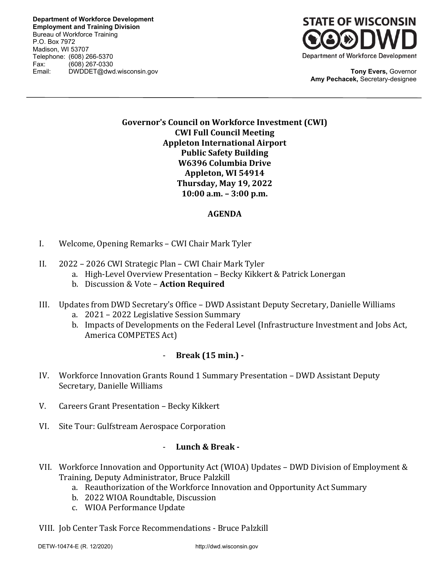**Department of Workforce Development Employment and Training Division** Bureau of Workforce Training P.O. Box 7972 Madison, WI 53707 Telephone: (608) 266-5370 Fax: (608) 267-0330 Email: DWDDET@dwd.wisconsin.gov **Tony Evers,** Governor



**Amy Pechacek,** Secretary-designee

# **Governor's Council on Workforce Investment (CWI) CWI Full Council Meeting Appleton International Airport Public Safety Building W6396 Columbia Drive Appleton, WI 54914 Thursday, May 19, 2022 10:00 a.m. – 3:00 p.m.**

# **AGENDA**

- I. Welcome, Opening Remarks CWI Chair Mark Tyler
- II. 2022 2026 CWI Strategic Plan CWI Chair Mark Tyler
	- a. High-Level Overview Presentation Becky Kikkert & Patrick Lonergan
	- b. Discussion & Vote **Action Required**
- III. Updates from DWD Secretary's Office DWD Assistant Deputy Secretary, Danielle Williams
	- a. 2021 2022 Legislative Session Summary
	- b. Impacts of Developments on the Federal Level (Infrastructure Investment and Jobs Act, America COMPETES Act)

# - **Break (15 min.) -**

- IV. Workforce Innovation Grants Round 1 Summary Presentation DWD Assistant Deputy Secretary, Danielle Williams
- V. Careers Grant Presentation Becky Kikkert
- VI. Site Tour: Gulfstream Aerospace Corporation

#### - **Lunch & Break -**

- VII. Workforce Innovation and Opportunity Act (WIOA) Updates DWD Division of Employment & Training, Deputy Administrator, Bruce Palzkill
	- a. Reauthorization of the Workforce Innovation and Opportunity Act Summary
	- b. 2022 WIOA Roundtable, Discussion
	- c. WIOA Performance Update
- VIII. Job Center Task Force Recommendations Bruce Palzkill